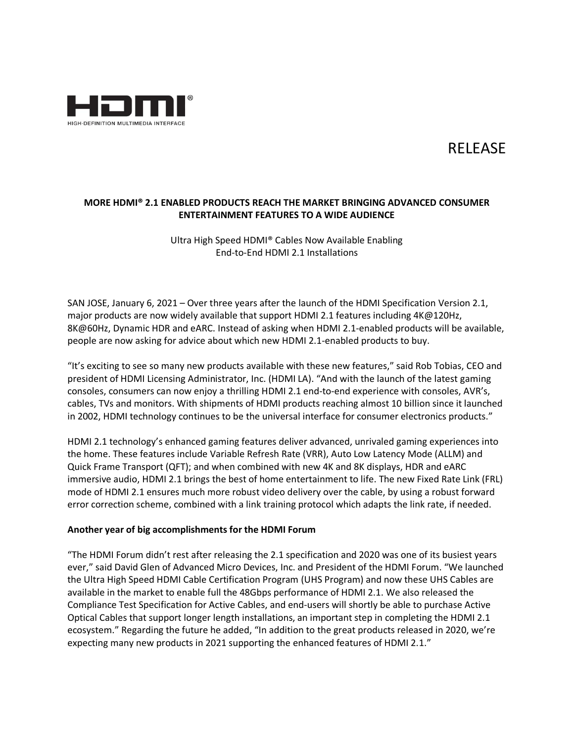

# RELEASE

## **MORE HDMI® 2.1 ENABLED PRODUCTS REACH THE MARKET BRINGING ADVANCED CONSUMER ENTERTAINMENT FEATURES TO A WIDE AUDIENCE**

Ultra High Speed HDMI® Cables Now Available Enabling End-to-End HDMI 2.1 Installations

SAN JOSE, January 6, 2021 – Over three years after the launch of the HDMI Specification Version 2.1, major products are now widely available that support HDMI 2.1 features including 4K@120Hz, 8K@60Hz, Dynamic HDR and eARC. Instead of asking when HDMI 2.1-enabled products will be available, people are now asking for advice about which new HDMI 2.1-enabled products to buy.

"It's exciting to see so many new products available with these new features," said Rob Tobias, CEO and president of HDMI Licensing Administrator, Inc. (HDMI LA). "And with the launch of the latest gaming consoles, consumers can now enjoy a thrilling HDMI 2.1 end-to-end experience with consoles, AVR's, cables, TVs and monitors. With shipments of HDMI products reaching almost 10 billion since it launched in 2002, HDMI technology continues to be the universal interface for consumer electronics products."

HDMI 2.1 technology's enhanced gaming features deliver advanced, unrivaled gaming experiences into the home. These features include Variable Refresh Rate (VRR), Auto Low Latency Mode (ALLM) and Quick Frame Transport (QFT); and when combined with new 4K and 8K displays, HDR and eARC immersive audio, HDMI 2.1 brings the best of home entertainment to life. The new Fixed Rate Link (FRL) mode of HDMI 2.1 ensures much more robust video delivery over the cable, by using a robust forward error correction scheme, combined with a link training protocol which adapts the link rate, if needed.

#### **Another year of big accomplishments for the HDMI Forum**

"The HDMI Forum didn't rest after releasing the 2.1 specification and 2020 was one of its busiest years ever," said David Glen of Advanced Micro Devices, Inc. and President of the HDMI Forum. "We launched the Ultra High Speed HDMI Cable Certification Program (UHS Program) and now these UHS Cables are available in the market to enable full the 48Gbps performance of HDMI 2.1. We also released the Compliance Test Specification for Active Cables, and end-users will shortly be able to purchase Active Optical Cables that support longer length installations, an important step in completing the HDMI 2.1 ecosystem." Regarding the future he added, "In addition to the great products released in 2020, we're expecting many new products in 2021 supporting the enhanced features of HDMI 2.1."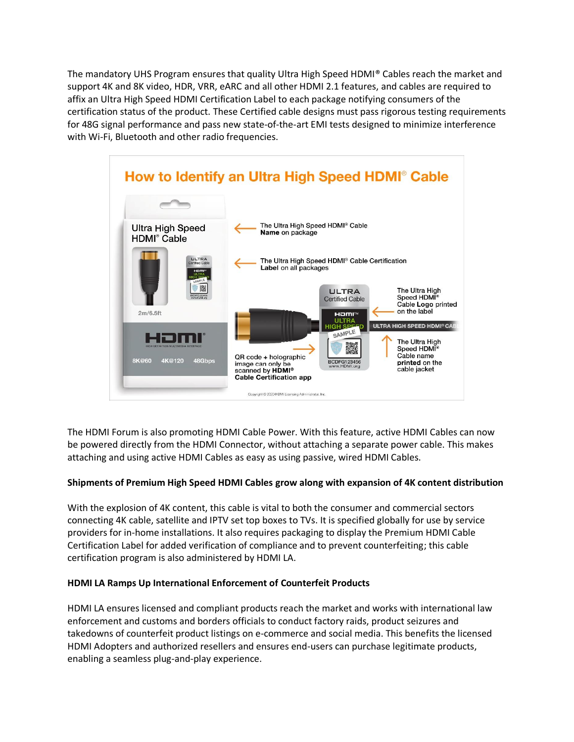The mandatory UHS Program ensures that quality Ultra High Speed HDMI® Cables reach the market and support 4K and 8K video, HDR, VRR, eARC and all other HDMI 2.1 features, and cables are required to affix an Ultra High Speed HDMI Certification Label to each package notifying consumers of the certification status of the product. These Certified cable designs must pass rigorous testing requirements for 48G signal performance and pass new state-of-the-art EMI tests designed to minimize interference with Wi-Fi, Bluetooth and other radio frequencies.



The HDMI Forum is also promoting HDMI Cable Power. With this feature, active HDMI Cables can now be powered directly from the HDMI Connector, without attaching a separate power cable. This makes attaching and using active HDMI Cables as easy as using passive, wired HDMI Cables.

## **Shipments of Premium High Speed HDMI Cables grow along with expansion of 4K content distribution**

With the explosion of 4K content, this cable is vital to both the consumer and commercial sectors connecting 4K cable, satellite and IPTV set top boxes to TVs. It is specified globally for use by service providers for in-home installations. It also requires packaging to display the Premium HDMI Cable Certification Label for added verification of compliance and to prevent counterfeiting; this cable certification program is also administered by HDMI LA.

## **HDMI LA Ramps Up International Enforcement of Counterfeit Products**

HDMI LA ensures licensed and compliant products reach the market and works with international law enforcement and customs and borders officials to conduct factory raids, product seizures and takedowns of counterfeit product listings on e-commerce and social media. This benefits the licensed HDMI Adopters and authorized resellers and ensures end-users can purchase legitimate products, enabling a seamless plug-and-play experience.